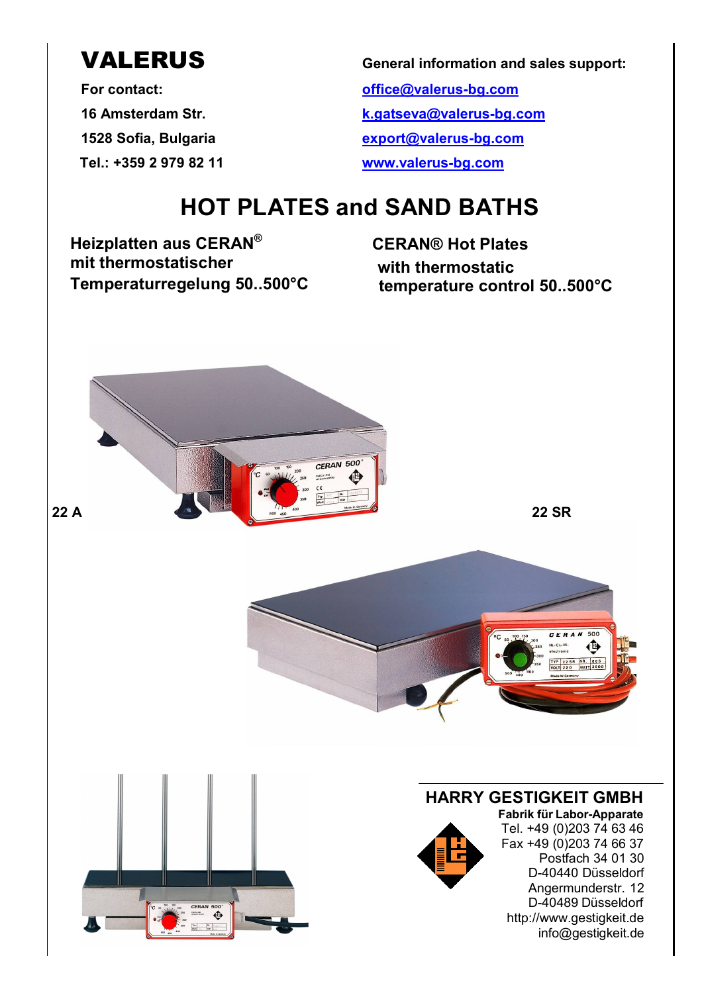**Tel.: +359 2 979 82 11 www.valerus-bg.com**

**VALERUS General information and sales support:**

**For contact: office@valerus-bg.com 16 Amsterdam Str. k.gatseva@valerus-bg.com 1528 Sofia, Bulgaria export@valerus-bg.com**

# **HOT PLATES and SAND BATHS**

**Heizplatten aus CERAN® mit thermostatischer Temperaturregelung 50..500°C temperature control 50..500°C**

**CERAN® Hot Plates with thermostatic**

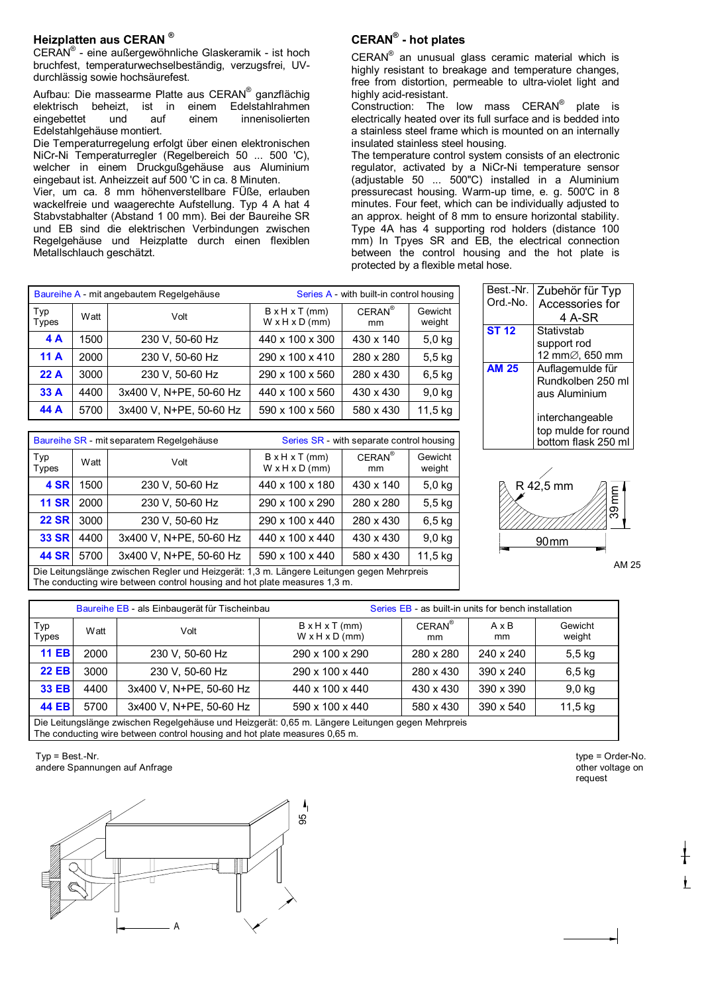### **Heizplatten aus CERAN ®**

CERAN® - eine außergewöhnliche Glaskeramik - ist hoch bruchfest, temperaturwechselbeständig, verzugsfrei, UVdurchlässig sowie hochsäurefest.

Aufbau: Die massearme Platte aus CERAN® ganzflächig elektrisch beheizt, ist in einem Edelstahlrahmen eingebettet und auf einem innenisolierten Edelstahlgehäuse montiert.

Die Temperaturregelung erfolgt über einen elektronischen NiCr-Ni Temperaturregler (Regelbereich 50 ... 500 'C), welcher in einem Druckgußgehäuse aus Aluminium eingebaut ist. Anheizzeit auf 500 'C in ca. 8 Minuten. Vier, um ca. 8 mm höhenverstellbare FÜße, erlauben wackelfreie und waagerechte Aufstellung. Typ 4 A hat 4 Stabvstabhalter (Abstand 1 00 mm). Bei der Baureihe SR und EB sind die elektrischen Verbindungen zwischen Regelgehäuse und Heizplatte durch einen flexiblen Metallschlauch geschätzt.

## **CERAN® - hot plates**

CERAN<sup>®</sup> an unusual glass ceramic material which is highly resistant to breakage and temperature changes, free from distortion, permeable to ultra-violet light and highly acid-resistant.

Construction: The low mass CERAN® plate is electrically heated over its full surface and is bedded into a stainless steel frame which is mounted on an internally insulated stainless steel housing.

The temperature control system consists of an electronic regulator, activated by a NiCr-Ni temperature sensor (adjustable 50 ... 500"C) installed in a Aluminium pressurecast housing. Warm-up time, e. g. 500'C in 8 minutes. Four feet, which can be individually adjusted to an approx. height of 8 mm to ensure horizontal stability. Type 4A has 4 supporting rod holders (distance 100 mm) In Tpyes SR and EB, the electrical connection between the control housing and the hot plate is protected by a flexible metal hose.

|              |      | Baureihe A - mit angebautem Regelgehäuse | Series A - with built-in control housing                 |                 |                   |  |  |  |
|--------------|------|------------------------------------------|----------------------------------------------------------|-----------------|-------------------|--|--|--|
| Typ<br>Types | Watt | Volt                                     | $B \times H \times T$ (mm)<br>$W \times H \times D$ (mm) | $CERAN^*$<br>mm | Gewicht<br>weight |  |  |  |
| 4A           | 1500 | 230 V, 50-60 Hz                          | 440 x 100 x 300                                          | 430 x 140       | $5,0$ kg          |  |  |  |
| 11A          | 2000 | 230 V, 50-60 Hz                          | 290 x 100 x 410                                          | 280 x 280       | $5,5$ kg          |  |  |  |
| 22A          | 3000 | 230 V, 50-60 Hz                          | 290 x 100 x 560                                          | 280 x 430       | $6,5$ kg          |  |  |  |
| 33A          | 4400 | 3x400 V, N+PE, 50-60 Hz                  | 440 x 100 x 560                                          | 430 x 430       | $9,0$ kg          |  |  |  |
| 44 A         | 5700 | 3x400 V, N+PE, 50-60 Hz                  | 590 x 100 x 560                                          | 580 x 430       | 11,5 kg           |  |  |  |

|              |      | Baureihe SR - mit separatem Regelgehäuse                                                                                                                               |                                              | Series SR - with separate control housing |                   |
|--------------|------|------------------------------------------------------------------------------------------------------------------------------------------------------------------------|----------------------------------------------|-------------------------------------------|-------------------|
| Typ<br>Types | Watt | Volt                                                                                                                                                                   | $B \times H \times T$ (mm)<br>W x H x D (mm) | $CERAN^{\otimes}$<br>mm                   | Gewicht<br>weight |
| 4 SR         | 1500 | 230 V, 50-60 Hz                                                                                                                                                        | 440 x 100 x 180                              | 430 x 140                                 | $5,0$ kg          |
| <b>11 SR</b> | 2000 | 230 V, 50-60 Hz                                                                                                                                                        | 290 x 100 x 290                              | 280 x 280                                 | $5,5$ kg          |
| <b>22 SR</b> | 3000 | 230 V, 50-60 Hz                                                                                                                                                        | 290 x 100 x 440                              | 280 x 430                                 | 6.5 <sub>kg</sub> |
| <b>33 SR</b> | 4400 | 3x400 V, N+PE, 50-60 Hz                                                                                                                                                | 440 x 100 x 440                              | 430 x 430                                 | $9,0$ kg          |
| <b>44 SR</b> | 5700 | 3x400 V. N+PE, 50-60 Hz                                                                                                                                                | 590 x 100 x 440                              | 580 x 430                                 | 11,5 kg           |
|              |      | Die Leitungslänge zwischen Regler und Heizgerät: 1,3 m. Längere Leitungen gegen Mehrpreis<br>The conducting wire between control housing and hot plate measures 1,3 m. |                                              |                                           |                   |

| Best.-Nr.    | Zubehör für Typ     |
|--------------|---------------------|
| Ord.-No.     | Accessories for     |
|              | 4 A-SR              |
| <b>ST 12</b> | Stativstab          |
|              | support rod         |
|              | 12 mm∅, 650 mm      |
| <b>AM 25</b> | Auflagemulde für    |
|              | Rundkolben 250 ml   |
|              | aus Aluminium       |
|              | interchangeable     |
|              | top mulde for round |
|              | bottom flask 250 ml |
|              |                     |



| Baureihe EB - als Einbaugerät für Tischeinbau<br>Series EB - as built-in units for bench installation          |                                                                                                                                                                                |                         |                                                          |                 |                    |                   |  |  |  |  |
|----------------------------------------------------------------------------------------------------------------|--------------------------------------------------------------------------------------------------------------------------------------------------------------------------------|-------------------------|----------------------------------------------------------|-----------------|--------------------|-------------------|--|--|--|--|
| Typ<br>Types                                                                                                   | Watt                                                                                                                                                                           | Volt                    | $B \times H \times T$ (mm)<br>$W \times H \times D$ (mm) | $CERAN^®$<br>mm | $A \times B$<br>mm | Gewicht<br>weight |  |  |  |  |
| <b>11 EB</b>                                                                                                   | 2000                                                                                                                                                                           | 230 V. 50-60 Hz         | 290 x 100 x 290                                          | 280 x 280       | 240 x 240          | $5,5$ kg          |  |  |  |  |
| <b>22 EB</b>                                                                                                   | 3000                                                                                                                                                                           | 230 V. 50-60 Hz         | 290 x 100 x 440                                          | 280 x 430       | $390 \times 240$   | $6,5$ kg          |  |  |  |  |
| <b>33 EB</b>                                                                                                   | 4400                                                                                                                                                                           | 3x400 V. N+PE, 50-60 Hz | 440 x 100 x 440                                          | 430 x 430       | 390 x 390          | $9,0$ kg          |  |  |  |  |
| <b>44 EB</b><br>3x400 V. N+PE, 50-60 Hz<br>5700<br>590 x 100 x 440<br>11,5 kg<br>$390 \times 540$<br>580 x 430 |                                                                                                                                                                                |                         |                                                          |                 |                    |                   |  |  |  |  |
|                                                                                                                | Die Leitungslänge zwischen Regelgehäuse und Heizgerät: 0,65 m. Längere Leitungen gegen Mehrpreis<br>The conducting wire between control housing and hot plate measures 0.65 m. |                         |                                                          |                 |                    |                   |  |  |  |  |

 $Tvp = Best.-Nr.$ andere Spannungen auf Anfrage



type = Order-No. other voltage on request

Ł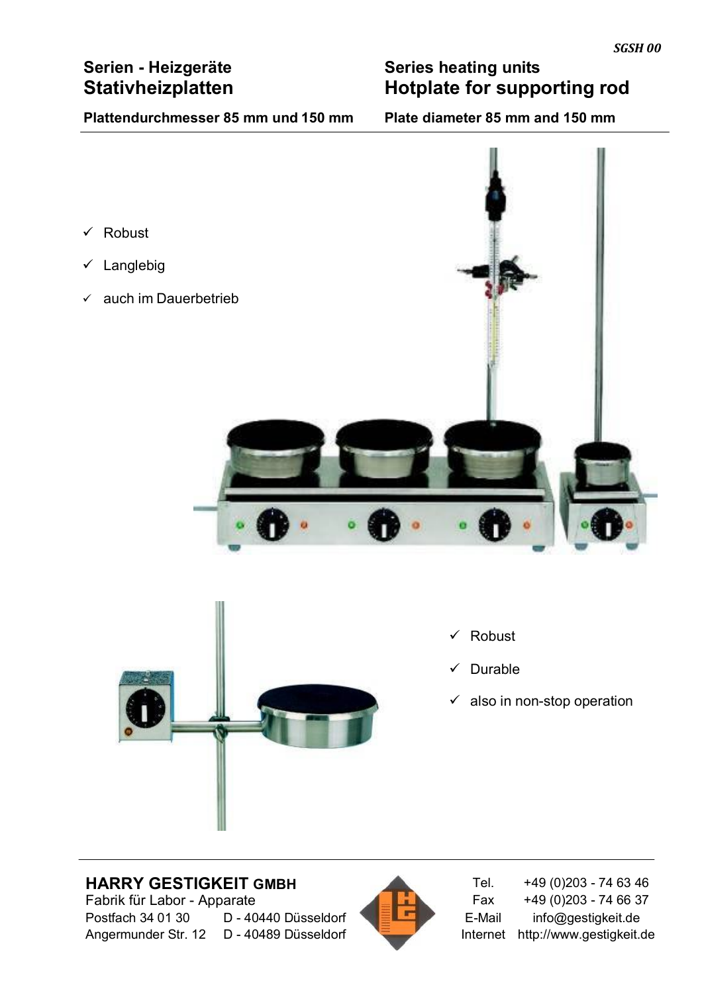# **Serien - Heizgeräte Consumery Series heating units**<br> **Stativheizplatten Hotplate for supp Hotplate for supporting rod**

# **Plattendurchmesser 85 mm und 150 mm Plate diameter 85 mm and 150 mm**





- $\checkmark$  Robust
- $\checkmark$  Durable
- $\checkmark$  also in non-stop operation

# **HARRY GESTIGKEIT GMBH**<br>
Fabrik für Labor - Apparate **Fabric 1990 Fax** +49 (0)203 - 74 66 37 Fabrik für Labor - Apparate Postfach 34 01 30 D - 40440 Düsseldorf ELET E-Mail info@gestigkeit.de



Angermunder Str. 12 D - 40489 Düsseldorf Internet http://www.gestigkeit.de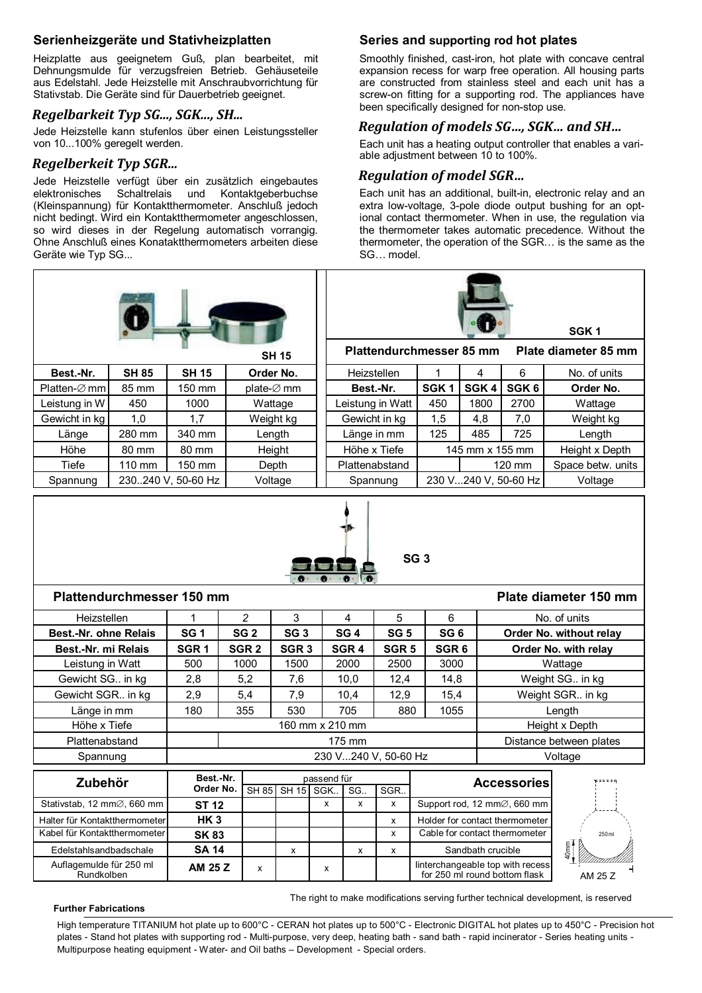# **Serienheizgeräte und Stativheizplatten**

Heizplatte aus geeignetem Guß, plan bearbeitet, mit Dehnungsmulde für verzugsfreien Betrieb. Gehäuseteile aus Edelstahl. Jede Heizstelle mit Anschraubvorrichtung für Stativstab. Die Geräte sind für Dauerbetrieb geeignet.

### *Regelbarkeit Typ SG..., SGK..., SH...*

Jede Heizstelle kann stufenlos über einen Leistungssteller von 10...100% geregelt werden.

## *Regelberkeit Typ SGR...*

Jede Heizstelle verfügt über ein zusätzlich eingebautes<br>elektronisches Schaltrelais und Kontaktgeberbuchse Schaltrelais und Kontaktgeberbuchse (Kleinspannung) für Kontaktthermometer. Anschluß jedoch nicht bedingt. Wird ein Kontaktthermometer angeschlossen, so wird dieses in der Regelung automatisch vorrangig. Ohne Anschluß eines Konataktthermometers arbeiten diese Geräte wie Typ SG...

# **Series and supporting rod hot plates**

Smoothly finished, cast-iron, hot plate with concave central expansion recess for warp free operation. All housing parts are constructed from stainless steel and each unit has a screw-on fitting for a supporting rod. The appliances have been specifically designed for non-stop use.

# *Regulation of models SG…, SGK… and SH…*

Each unit has a heating output controller that enables a variable adjustment between 10 to 100%.

# *Regulation of model SGR…*

Each unit has an additional, built-in, electronic relay and an extra low-voltage, 3-pole diode output bushing for an optional contact thermometer. When in use, the regulation via the thermometer takes automatic precedence. Without the thermometer, the operation of the SGR… is the same as the SG… model.

|                              |                           |                    |                  | <b>SH 15</b>     |                      | <b>Plattendurchmesser 85 mm</b> |                  |                 |                                 | SGK <sub>1</sub><br>Plate diameter 85 mm |  |  |
|------------------------------|---------------------------|--------------------|------------------|------------------|----------------------|---------------------------------|------------------|-----------------|---------------------------------|------------------------------------------|--|--|
| Best.-Nr.                    | <b>SH 85</b>              | <b>SH 15</b>       |                  | Order No.        | Heizstellen          |                                 | 1                | 4               | 6                               | No. of units                             |  |  |
| Platten-⊘ mm                 | 85 mm                     | 150 mm             |                  | plate-⊘ mm       | Best.-Nr.            |                                 | SGK <sub>1</sub> | SGK4            | SGK6                            | Order No.                                |  |  |
| Leistung in W                | 450                       | 1000               |                  | Wattage          |                      | Leistung in Watt                | 450              | 1800            | 2700                            | Wattage                                  |  |  |
| Gewicht in kg                | 1,0                       | 1,7                |                  | Weight kg        |                      | Gewicht in kg                   | 1,5              | 4,8             | 7,0                             | Weight kg                                |  |  |
| Länge                        | 280 mm                    | 340 mm             |                  | Length           |                      | Länge in mm                     | 125              | 485             | 725                             | Length                                   |  |  |
| Höhe                         | 80 mm                     | 80 mm              |                  | Height           | Höhe x Tiefe         |                                 |                  | 145 mm x 155 mm |                                 | Height x Depth                           |  |  |
| <b>Tiefe</b>                 | 110 mm                    | 150 mm             |                  | Depth            | Plattenabstand       |                                 |                  |                 | 120 mm                          | Space betw. units                        |  |  |
| Spannung                     |                           | 230240 V, 50-60 Hz |                  | Voltage          | Spannung             |                                 |                  |                 | 230 V240 V, 50-60 Hz<br>Voltage |                                          |  |  |
|                              |                           |                    |                  |                  |                      | SG <sub>3</sub>                 |                  |                 |                                 |                                          |  |  |
|                              | Plattendurchmesser 150 mm |                    |                  |                  |                      |                                 |                  |                 |                                 | Plate diameter 150 mm                    |  |  |
| Heizstellen                  |                           | 1                  | $\overline{c}$   | 3                | 4                    | 5                               | 6                |                 |                                 | No. of units                             |  |  |
| <b>Best.-Nr. ohne Relais</b> |                           | SG <sub>1</sub>    | SG <sub>2</sub>  | SG <sub>3</sub>  | SG <sub>4</sub>      | <b>SG 5</b>                     | SG <sub>6</sub>  |                 |                                 | Order No. without relay                  |  |  |
| Best.-Nr. mi Relais          |                           | SGR <sub>1</sub>   | SGR <sub>2</sub> | SGR <sub>3</sub> | SGR <sub>4</sub>     | SGR <sub>5</sub>                | SGR <sub>6</sub> |                 |                                 | Order No. with relay                     |  |  |
| Leistung in Watt             |                           | 500                | 1000             | 1500             | 2000                 | 2500                            | 3000             |                 |                                 | Wattage                                  |  |  |
| Gewicht SG in kg             |                           | 2,8                | 5,2              | 7,6              | 10,0                 | 12,4                            | 14,8             |                 |                                 | Weight SG in kg                          |  |  |
| Gewicht SGR in kg            |                           | 2,9                | 5,4              | 7,9              | 10,4                 | 12,9                            | 15,4             |                 |                                 | Weight SGR in kg                         |  |  |
| Länge in mm                  |                           | 180                | 355              | 530              | 705                  | 880                             | 1055             |                 |                                 | Length                                   |  |  |
| Höhe x Tiefe                 |                           |                    |                  |                  | 160 mm x 210 mm      |                                 |                  |                 |                                 | Height x Depth                           |  |  |
| Plattenabstand               |                           |                    |                  |                  | 175 mm               |                                 |                  |                 |                                 | Distance between plates                  |  |  |
| Spannung                     |                           |                    |                  |                  | 230 V240 V, 50-60 Hz |                                 |                  |                 |                                 | Voltage                                  |  |  |

| Zubehör                                  | Best.-Nr.       | passend für |                        |   |     |     | <b>Accessories</b>                                                |                |
|------------------------------------------|-----------------|-------------|------------------------|---|-----|-----|-------------------------------------------------------------------|----------------|
|                                          | Order No.       |             | <b>SH 85 SH 15 SGK</b> |   | SG. | SGR |                                                                   |                |
| Stativstab, 12 mm $\varnothing$ , 660 mm | <b>ST 12</b>    |             |                        | x | x   |     | Support rod, 12 mm $\oslash$ , 660 mm                             |                |
| Halter für Kontaktthermometer            | HK <sub>3</sub> |             |                        |   |     | x   | Holder for contact thermometer                                    |                |
| Kabel für Kontaktthermometer             | <b>SK83</b>     |             |                        |   |     | x   | Cable for contact thermometer                                     |                |
| Edelstahlsandbadschale                   | <b>SA 14</b>    |             |                        |   | x   | x   | Sandbath crucible                                                 | $40 \text{mm}$ |
| Auflagemulde für 250 ml<br>Rundkolben    | AM 25 Z         | x           |                        | x |     |     | linterchangeable top with recess<br>for 250 ml round bottom flask |                |

#### **Further Fabrications**

The right to make modifications serving further technical development, is reserved

AM 25 Z

250 ml

High temperature TITANIUM hot plate up to 600°C - CERAN hot plates up to 500°C - Electronic DIGITAL hot plates up to 450°C - Precision hot plates - Stand hot plates with supporting rod - Multi-purpose, very deep, heating bath - sand bath - rapid incinerator - Series heating units -Multipurpose heating equipment - Water- and Oil baths – Development - Special orders.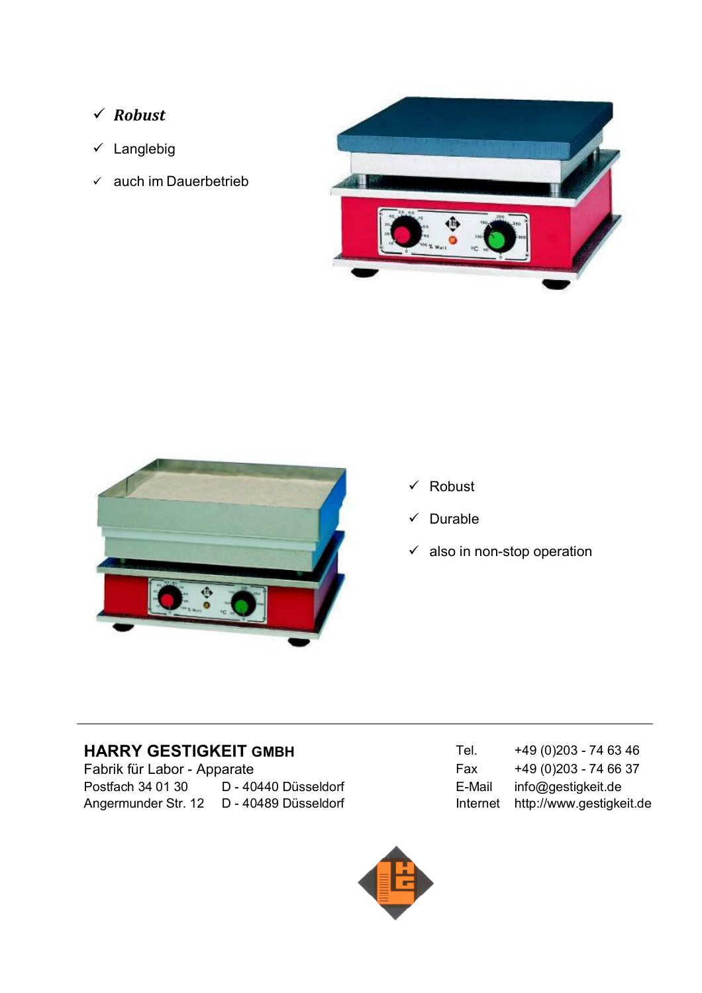- *Robust*
- $\times$  Langlebig
- $\times$  auch im Dauerbetrieb





- $\checkmark$  Robust
- $\checkmark$  Durable
- $\checkmark$  also in non-stop operation

Fabrik für Labor - Apparate Postfach 34 01 30 D - 40440 Düsseldorf E-Mail info@gestigkeit.de Angermunder Str. 12 D - 40489 Düsseldorf Manuel Internet http://www.gestigkeit.de

**HARRY GESTIGKEIT GMBH** Tel. +49 (0)203 - 74 63 46<br>Fabrik für Labor - Apparate Fabrik Fax +49 (0)203 - 74 66 37

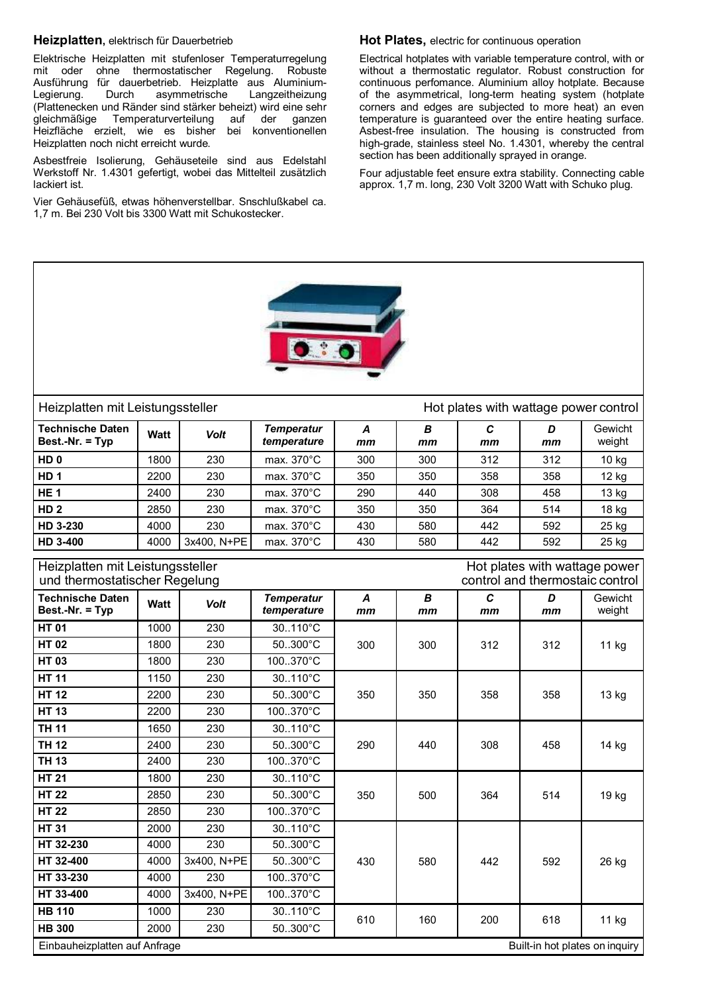#### **Heizplatten,** elektrisch für Dauerbetrieb

Elektrische Heizplatten mit stufenloser Temperaturregelung mit oder ohne thermostatischer Regelung. Robuste Ausführung für dauerbetrieb. Heizplatte aus Aluminium-Legierung. Durch asymmetrische Langzeitheizung (Plattenecken und Ränder sind stärker beheizt) wird eine sehr gleichmäßige Temperaturverteilung auf der ganzen Heizfläche erzielt, wie es bisher bei konventionellen Heizplatten noch nicht erreicht wurde.

Asbestfreie Isolierung, Gehäuseteile sind aus Edelstahl Werkstoff Nr. 1.4301 gefertigt, wobei das Mittelteil zusätzlich lackiert ist.

Vier Gehäusefüß, etwas höhenverstellbar. Snschlußkabel ca. 1,7 m. Bei 230 Volt bis 3300 Watt mit Schukostecker.

#### **Hot Plates,** electric for continuous operation

Electrical hotplates with variable temperature control, with or without a thermostatic regulator. Robust construction for continuous perfomance. Aluminium alloy hotplate. Because of the asymmetrical, long-term heating system (hotplate corners and edges are subjected to more heat) an even temperature is guaranteed over the entire heating surface. Asbest-free insulation. The housing is constructed from high-grade, stainless steel No. 1.4301, whereby the central section has been additionally sprayed in orange.

Four adjustable feet ensure extra stability. Connecting cable approx. 1,7 m. long, 230 Volt 3200 Watt with Schuko plug.



### Heizplatten mit Leistungssteller Hot plates with wattage power control

**Technische Daten Best.-Nr. = Typ Watt** *Volt Temperatur temperature A mm B mm C mm D mm* Gewicht weight

| HD <sub>0</sub> | 1800 | 230         | max. 370°C           | 300 | 300 | 312 | 312 | 10 kg |
|-----------------|------|-------------|----------------------|-----|-----|-----|-----|-------|
| HD <sub>1</sub> | 2200 | 230         | max. 370°C           | 350 | 350 | 358 | 358 | 12 kg |
| HE <sub>1</sub> | 2400 | 230         | max. 370°C           | 290 | 440 | 308 | 458 | 13 kg |
| HD <sub>2</sub> | 2850 | 230         | max. 370°C           | 350 | 350 | 364 | 514 | 18 kg |
| HD 3-230        | 4000 | 230         | max. $370^{\circ}$ C | 430 | 580 | 442 | 592 | 25 kg |
| HD 3-400        | 4000 | 3x400, N+PE | max. 370°C           | 430 | 580 | 442 | 592 | 25 kg |

| Heizplatten mit Leistungssteller<br>und thermostatischer Regelung |      |             |                                                                 |         |         |                    | Hot plates with wattage power<br>control and thermostaic control |                   |  |  |
|-------------------------------------------------------------------|------|-------------|-----------------------------------------------------------------|---------|---------|--------------------|------------------------------------------------------------------|-------------------|--|--|
| <b>Technische Daten</b><br>Best.-Nr. = Typ                        | Watt | <b>Volt</b> | <b>Temperatur</b><br>temperature                                | A<br>mm | B<br>mm | $\mathbf{C}$<br>mm | D<br>mm                                                          | Gewicht<br>weight |  |  |
| <b>HT01</b>                                                       | 1000 | 230         | 30110°C                                                         |         |         |                    |                                                                  |                   |  |  |
| <b>HT02</b>                                                       | 1800 | 230         | 50300°C                                                         | 300     | 300     | 312                | 312                                                              | 11 kg             |  |  |
| <b>HT03</b>                                                       | 1800 | 230         | 100.370°C                                                       |         |         |                    |                                                                  |                   |  |  |
| <b>HT 11</b>                                                      | 1150 | 230         | 30110°C                                                         |         |         |                    |                                                                  |                   |  |  |
| <b>HT 12</b>                                                      | 2200 | 230         | 50300°C                                                         | 350     | 350     | 358                | 358                                                              | 13 kg             |  |  |
| <b>HT 13</b>                                                      | 2200 | 230         | 100.370°C                                                       |         |         |                    |                                                                  |                   |  |  |
| <b>TH 11</b>                                                      | 1650 | 230         | 30110°C                                                         | 290     |         | 308                | 458                                                              | 14 kg             |  |  |
| <b>TH 12</b>                                                      | 2400 | 230         | 50300°C                                                         |         | 440     |                    |                                                                  |                   |  |  |
| <b>TH 13</b>                                                      | 2400 | 230         | 100370°C                                                        |         |         |                    |                                                                  |                   |  |  |
| <b>HT 21</b>                                                      | 1800 | 230         | 30110°C                                                         |         |         | 364                | 514                                                              | 19 kg             |  |  |
| <b>HT 22</b>                                                      | 2850 | 230         | $50.300^{\circ}$ C                                              | 350     | 500     |                    |                                                                  |                   |  |  |
| <b>HT 22</b>                                                      | 2850 | 230         | 100.370°C                                                       |         |         |                    |                                                                  |                   |  |  |
| <b>HT 31</b>                                                      | 2000 | 230         | 30110°C                                                         |         |         |                    |                                                                  |                   |  |  |
| HT 32-230                                                         | 4000 | 230         | 50300°C                                                         |         |         |                    |                                                                  |                   |  |  |
| HT 32-400                                                         | 4000 | 3x400, N+PE | 50300°C                                                         | 430     | 580     | 442                | 592                                                              | 26 kg             |  |  |
| HT 33-230                                                         | 4000 | 230         | 100.370°C                                                       |         |         |                    |                                                                  |                   |  |  |
| HT 33-400                                                         | 4000 | 3x400, N+PE | 100.370°C                                                       |         |         |                    |                                                                  |                   |  |  |
| <b>HB 110</b>                                                     | 1000 | 230         | 30110°C                                                         | 610     | 160     | 200                | 618                                                              |                   |  |  |
| <b>HB 300</b>                                                     | 2000 | 230         | 50300°C                                                         |         |         |                    |                                                                  | 11 kg             |  |  |
|                                                                   |      |             | Einbauheizplatten auf Anfrage<br>Built-in hot plates on inquiry |         |         |                    |                                                                  |                   |  |  |